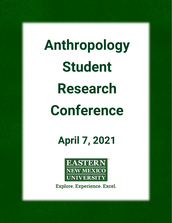**Anthropology Student Research Conference**

**April 7, 2021**



**Explore. Experience. Excel.**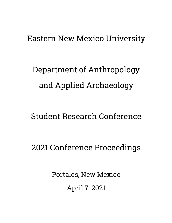# Eastern New Mexico University

Department of Anthropology and Applied Archaeology

Student Research Conference

2021 Conference Proceedings

Portales, New Mexico April 7, 2021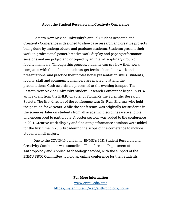#### **About the Student Research and Creativity Conference**

Eastern New Mexico University's annual Student Research and Creativity Conference is designed to showcase research and creative projects being done by undergraduate and graduate students. Students present their work in professional poster/creative work display and paper/performance sessions and are judged and critiqued by an inter-disciplinary group of faculty members. Through this process, students can see how their work compares with that of other students, get feedback on their work and presentations, and practice their professional presentation skills. Students, faculty, staff and community members are invited to attend the presentations. Cash awards are presented at the evening banquet. The Eastern New Mexico University Student Research Conference began in 1974 with a grant from the ENMU chapter of Sigma Xi, the Scientific Research Society. The first director of the conference was Dr. Ram Sharma, who held the position for 25 years. While the conference was originally for students in the sciences, later on students from all academic disciplines were eligible and encouraged to participate. A poster session was added to the conference in 2011. Creative work display and fine arts performance sessions were added for the first time in 2018, broadening the scope of the conference to include students in all majors.

Due to the COVID-19 pandemic, ENMU's 2021 Student Research and Creativity Conference was cancelled. Therefore, the Department of Anthropology and Applied Archaeology decided, with the support of the ENMU SRCC Committee, to hold an online conference for their students.

> **For More Information**  [www.enmu.edu/srcc](http://www.enmu.edu/srcc)  <https://my.enmu.edu/web/anthropology/home>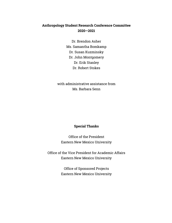## **Anthropology Student Research Conference Committee 2020—2021**

Dr. Brendon Asher Ms. Samantha Bomkamp Dr. Susan Kuzminsky Dr. John Montgomery Dr. Erik Stanley Dr. Robert Stokes

with administrative assistance from Ms. Barbara Senn

### **Special Thanks**

Office of the President Eastern New Mexico University

Office of the Vice President for Academic Affairs Eastern New Mexico University

> Office of Sponsored Projects Eastern New Mexico University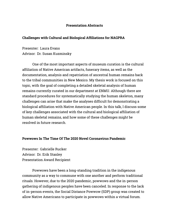#### **Presentation Abstracts**

#### **Challenges with Cultural and Biological Affiliations for NAGPRA**

Presenter: Laura Evans Advisor: Dr. Susan Kuzminsky

One of the most important aspects of museum curation is the cultural affiliation of Native American artifacts, funerary items, as well as the documentation, analysis and repatriation of ancestral human remains back to the tribal communities in New Mexico. My thesis work is focused on this topic, with the goal of completing a detailed skeletal analysis of human remains currently curated in our department at ENMU. Although there are standard procedures for systematically studying the human skeleton, many challenges can arise that make the analyses difficult for demonstrating a biological affiliation with Native American people. In this talk, I discuss some of key challenges associated with the cultural and biological affiliation of human skeletal remains, and how some of these challenges might be resolved in future research.

#### **Powwows In The Time Of The 2020 Novel Coronavirus Pandemic**

Presenter: Gabrielle Rucker Advisor: Dr. Erik Stanley Presentation Award Recipient

Powwows have been a long-standing tradition in the indigenous community as a way to commune with one another and perform traditional rituals. However, due to the 2020 pandemic, powwows and the in-person gathering of indigenous peoples have been canceled. In response to the lack of in-person events, the Social Distance Powwow (SDP) group was created to allow Native Americans to participate in powwows within a virtual forum.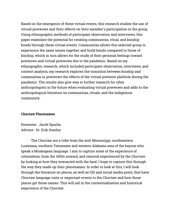Based on the emergence of these virtual events, this research studies the use of virtual powwows and their effects on their member's participation in the group. Using ethnographic methods of participant observation and interviews, this paper examines the potential for creating communitas, ritual, and kinship bonds through these virtual events. Communitas allows this selected group to experience the same issues together and build bonds compared to those of kinship, which in turn allows for the study of their personal feelings toward powwows and virtual powwows due to the pandemic. Based on my ethnographic research, which included participant observation, interviews, and content analysis, my research explores the transition between kinship and communitas in powwows the effects of the virtual powwow platform during the pandemic. The results also give way to further research for other anthropologists in the future when evaluating virtual powwows and adds to the anthropological literature on communitas, rituals, and the indigenous community.

#### **Choctaw Placenames**

Presenter: Jacob Spurlin Advisor: Dr. Erik Stanley

The Choctaw are a tribe from the mid-Mississippi, southeastern Louisiana, southern Tennessee and western Alabama area of the bayous who speak a Muskogean language. I aim to capture some of the experience of colonialism, from the 1600s onward, and removal experienced by the Choctaw by looking at how they interacted with the land. I hope to capture this through the way they made up their placenames. In order to look at this, I will look through the literature on places, as well as GIS and social media posts, that have Choctaw language roots or important events to the Choctaw and how those places got those names. This will aid in the contextualization and historical experience of the Choctaw.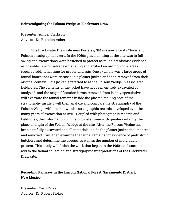#### **Reinvestigating the Folsom Wedge at Blackwater Draw**

Presenter: Amber Clarkson Advisor: Dr. Brendon Asher

The Blackwater Draw site near Portales, NM is known for its Clovis and Folsom stratigraphic layers. In the 1960s gravel mining at the site was in full swing and excavations were hastened to protect as much prehistoric evidence as possible. During salvage excavating and artifact recording, some areas required additional time for proper analysis. One example was a large group of faunal bones that were encased in a plaster jacket, and then removed from their original context. This jacket is referred to as the Folsom Wedge in associated fieldnotes. The contents of the jacket have not been entirely excavated or analyzed, and the original location it was removed from is only speculative. I will excavate the faunal remains inside the plaster, making note of the stratigraphy inside. I will then analyze and compare the stratigraphy of the Folsom Wedge with the known site stratigraphic records developed over the many years of excavation at BWD. Coupled with photographic records and fieldnotes, this information will help to determine with greater certainty the place of origin of the Folsom Wedge at the site. After the Folsom Wedge has been carefully excavated and all materials inside the plaster jacket documented and removed, I will then examine the faunal remains for evidence of prehistoric butchery and determine the species as well as the number of individuals present. This study will finish the work that began in the 1960s and continue to add to the faunal collection and stratigraphic interpretations of the Blackwater Draw site.

## **Recording Railways in the Lincoln National Forest, Sacramento District, New Mexico**

Presenter: Cash Ficke Advisor: Dr. Robert Stokes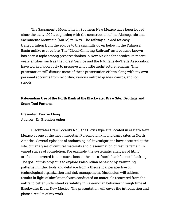The Sacramento Mountains in Southern New Mexico have been logged since the early 1900s, beginning with the construction of the Alamogordo and Sacramento Mountain (A&SM) railway. The railway allowed for easy transportation from the source to the sawmills down below in the Tularosa Basin unlike ever before. The "Cloud-Climbing Railroad" as it became known has been a topic among preservationists in New Mexico for decades. In recent years entities, such as the Forest Service and the NM Rails-to-Trails Association have worked vigorously to preserve what little architecture remains. This presentation will discuss some of these preservation efforts along with my own personal accounts from recording various railroad grades, camps, and log shoots.

## **Paleoindian Use of the North Bank at the Blackwater Draw Site: Debitage and Stone Tool Patterns**

Presenter: Fanxiu Meng Advisor: Dr. Brendon Asher

Blackwater Draw Locality No.1, the Clovis type site located in eastern New Mexico, is one of the most important Paleoindian kill and camp sites in North America. Several episodes of archaeological investigations have occurred at the site, but analyses of cultural materials and dissemination of results remain in varied stages of completion. For example, the systematic analysis of lithic artifacts recovered from excavations at the site's "north bank" are still lacking. The goal of this project is to explore Paleoindian behavior by examining patterns in lithic tools and debitage from a theoretical perspective of technological organization and risk management. Discussion will address results in light of similar analyses conducted on materials recovered from the entire to better understand variability in Paleoindian behavior through time at Blackwater Draw, New Mexico. The presentation will cover the introduction and phased results of my work.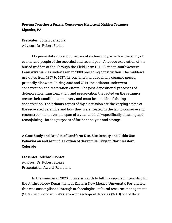## **Piecing Together a Puzzle: Conserving Historical Midden Ceramics, Ligonier, PA**

Presenter: Jonah Jankovik Advisor: Dr. Robert Stokes

My presentation is about historical archaeology, which is the study of events and people of the recorded and recent past. A rescue excavation of the buried midden at the Through the Field Farm (TTFF) site in southwestern Pennsylvania was undertaken in 2009 preceding construction. The midden's use dates from 1857 to 1937. Its contents included many ceramic pieces, primarily dishware. During 2018 and 2019, the artifacts underwent conservation and restoration efforts. The post-depositional processes of deterioration, transformation, and preservation that acted on the ceramics create their condition at recovery and must be considered during conservation. The primary topics of my discussion are the varying states of the recovered ceramics and how they were treated in the lab to conserve and reconstruct them over the span of a year and half—specifically cleaning and reconjoining—for the purposes of further analysis and storage.

# **A Case Study and Results of Landform Use, Site Density and Lithic Use Behavior on and Around a Portion of Sevenmile Ridge in Northwestern Colorado**

Presenter: Michael Rohrer Advisor: Dr. Robert Stokes Presentation Award Recipient

In the summer of 2020, I traveled north to fulfill a required internship for the Anthropology Department at Eastern New Mexico University. Fortunately, this was accomplished through archaeological cultural resource management (CRM) field work with Western Archaeological Services (WAS) out of Rock